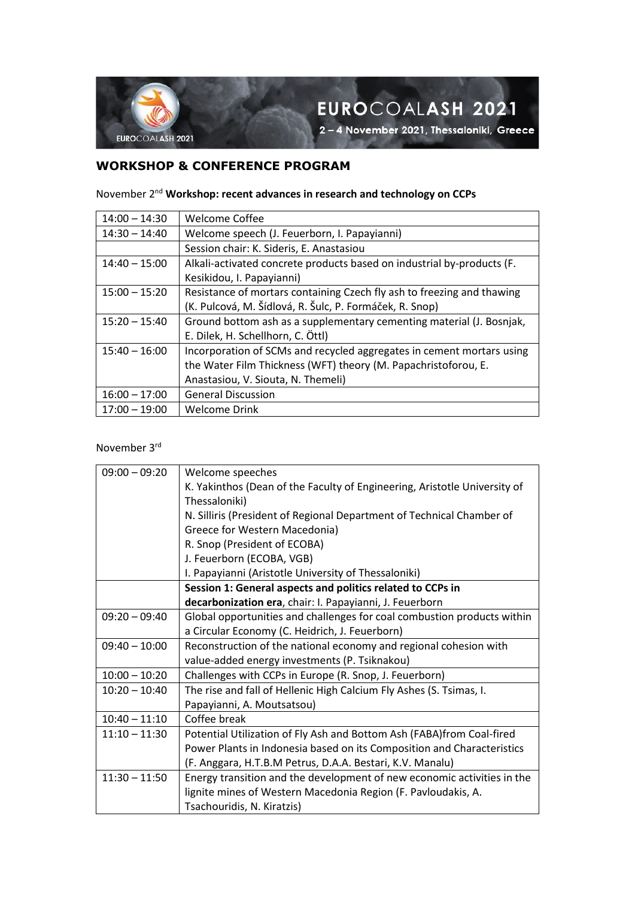

EUROCOALASH 2021

2-4 November 2021, Thessaloniki, Greece

## **WORKSHOP & CONFERENCE PROGRAM**

November 2nd **Workshop: recent advances in research and technology on CCPs**

| $14:00 - 14:30$ | <b>Welcome Coffee</b>                                                  |  |
|-----------------|------------------------------------------------------------------------|--|
| $14:30 - 14:40$ | Welcome speech (J. Feuerborn, I. Papayianni)                           |  |
|                 | Session chair: K. Sideris, E. Anastasiou                               |  |
| $14:40 - 15:00$ | Alkali-activated concrete products based on industrial by-products (F. |  |
|                 | Kesikidou, I. Papayianni)                                              |  |
| $15:00 - 15:20$ | Resistance of mortars containing Czech fly ash to freezing and thawing |  |
|                 | (K. Pulcová, M. Šídlová, R. Šulc, P. Formáček, R. Snop)                |  |
| $15:20 - 15:40$ | Ground bottom ash as a supplementary cementing material (J. Bosnjak,   |  |
|                 | E. Dilek, H. Schellhorn, C. Öttl)                                      |  |
| $15:40 - 16:00$ | Incorporation of SCMs and recycled aggregates in cement mortars using  |  |
|                 | the Water Film Thickness (WFT) theory (M. Papachristoforou, E.         |  |
|                 | Anastasiou, V. Siouta, N. Themeli)                                     |  |
| $16:00 - 17:00$ | <b>General Discussion</b>                                              |  |
| $17:00 - 19:00$ | Welcome Drink                                                          |  |

November 3rd

| $09:00 - 09:20$ | Welcome speeches                                                          |  |  |
|-----------------|---------------------------------------------------------------------------|--|--|
|                 | K. Yakinthos (Dean of the Faculty of Engineering, Aristotle University of |  |  |
|                 | Thessaloniki)                                                             |  |  |
|                 | N. Silliris (President of Regional Department of Technical Chamber of     |  |  |
|                 | Greece for Western Macedonia)                                             |  |  |
|                 | R. Snop (President of ECOBA)                                              |  |  |
|                 | J. Feuerborn (ECOBA, VGB)                                                 |  |  |
|                 | I. Papayianni (Aristotle University of Thessaloniki)                      |  |  |
|                 | Session 1: General aspects and politics related to CCPs in                |  |  |
|                 | decarbonization era, chair: I. Papayianni, J. Feuerborn                   |  |  |
| $09:20 - 09:40$ | Global opportunities and challenges for coal combustion products within   |  |  |
|                 | a Circular Economy (C. Heidrich, J. Feuerborn)                            |  |  |
| $09:40 - 10:00$ | Reconstruction of the national economy and regional cohesion with         |  |  |
|                 | value-added energy investments (P. Tsiknakou)                             |  |  |
| $10:00 - 10:20$ | Challenges with CCPs in Europe (R. Snop, J. Feuerborn)                    |  |  |
| $10:20 - 10:40$ | The rise and fall of Hellenic High Calcium Fly Ashes (S. Tsimas, I.       |  |  |
|                 | Papayianni, A. Moutsatsou)                                                |  |  |
| $10:40 - 11:10$ | Coffee break                                                              |  |  |
| $11:10 - 11:30$ | Potential Utilization of Fly Ash and Bottom Ash (FABA) from Coal-fired    |  |  |
|                 | Power Plants in Indonesia based on its Composition and Characteristics    |  |  |
|                 | (F. Anggara, H.T.B.M Petrus, D.A.A. Bestari, K.V. Manalu)                 |  |  |
| $11:30 - 11:50$ | Energy transition and the development of new economic activities in the   |  |  |
|                 | lignite mines of Western Macedonia Region (F. Pavloudakis, A.             |  |  |
|                 | Tsachouridis, N. Kiratzis)                                                |  |  |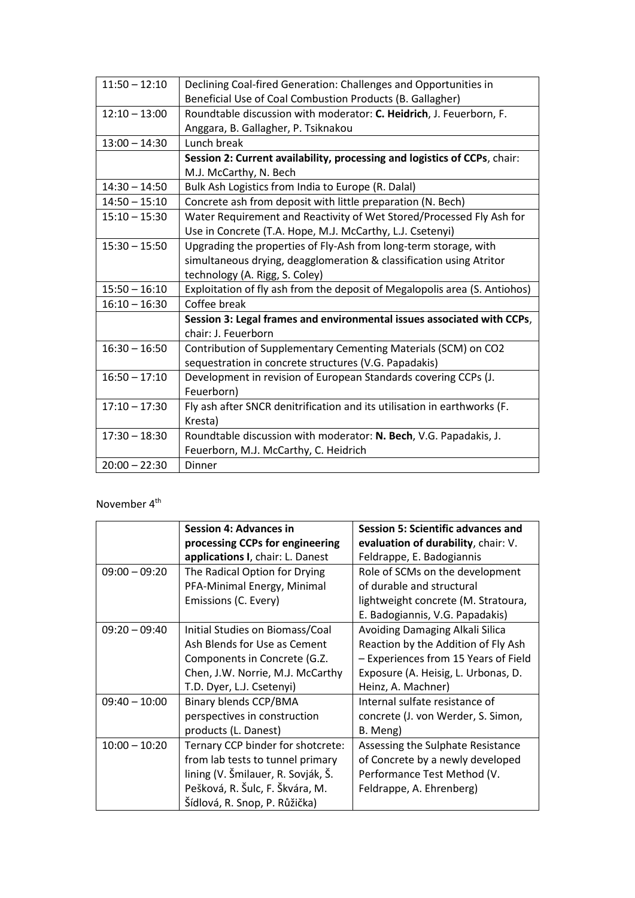| $11:50 - 12:10$ | Declining Coal-fired Generation: Challenges and Opportunities in           |  |
|-----------------|----------------------------------------------------------------------------|--|
|                 | Beneficial Use of Coal Combustion Products (B. Gallagher)                  |  |
| $12:10 - 13:00$ | Roundtable discussion with moderator: C. Heidrich, J. Feuerborn, F.        |  |
|                 | Anggara, B. Gallagher, P. Tsiknakou                                        |  |
| $13:00 - 14:30$ | Lunch break                                                                |  |
|                 | Session 2: Current availability, processing and logistics of CCPs, chair:  |  |
|                 | M.J. McCarthy, N. Bech                                                     |  |
| $14:30 - 14:50$ | Bulk Ash Logistics from India to Europe (R. Dalal)                         |  |
| $14:50 - 15:10$ | Concrete ash from deposit with little preparation (N. Bech)                |  |
| $15:10 - 15:30$ | Water Requirement and Reactivity of Wet Stored/Processed Fly Ash for       |  |
|                 | Use in Concrete (T.A. Hope, M.J. McCarthy, L.J. Csetenyi)                  |  |
| $15:30 - 15:50$ | Upgrading the properties of Fly-Ash from long-term storage, with           |  |
|                 | simultaneous drying, deagglomeration & classification using Atritor        |  |
|                 | technology (A. Rigg, S. Coley)                                             |  |
| $15:50 - 16:10$ | Exploitation of fly ash from the deposit of Megalopolis area (S. Antiohos) |  |
| $16:10 - 16:30$ | Coffee break                                                               |  |
|                 | Session 3: Legal frames and environmental issues associated with CCPs,     |  |
|                 | chair: J. Feuerborn                                                        |  |
| $16:30 - 16:50$ | Contribution of Supplementary Cementing Materials (SCM) on CO2             |  |
|                 | sequestration in concrete structures (V.G. Papadakis)                      |  |
| $16:50 - 17:10$ | Development in revision of European Standards covering CCPs (J.            |  |
|                 | Feuerborn)                                                                 |  |
| $17:10 - 17:30$ | Fly ash after SNCR denitrification and its utilisation in earthworks (F.   |  |
|                 | Kresta)                                                                    |  |
| $17:30 - 18:30$ | Roundtable discussion with moderator: N. Bech, V.G. Papadakis, J.          |  |
|                 | Feuerborn, M.J. McCarthy, C. Heidrich                                      |  |
| $20:00 - 22:30$ | <b>Dinner</b>                                                              |  |

## November 4<sup>th</sup>

|                 | <b>Session 4: Advances in</b>      | <b>Session 5: Scientific advances and</b> |
|-----------------|------------------------------------|-------------------------------------------|
|                 | processing CCPs for engineering    | evaluation of durability, chair: V.       |
|                 | applications I, chair: L. Danest   | Feldrappe, E. Badogiannis                 |
| $09:00 - 09:20$ | The Radical Option for Drying      | Role of SCMs on the development           |
|                 | PFA-Minimal Energy, Minimal        | of durable and structural                 |
|                 | Emissions (C. Every)               | lightweight concrete (M. Stratoura,       |
|                 |                                    | E. Badogiannis, V.G. Papadakis)           |
| $09:20 - 09:40$ | Initial Studies on Biomass/Coal    | Avoiding Damaging Alkali Silica           |
|                 | Ash Blends for Use as Cement       | Reaction by the Addition of Fly Ash       |
|                 | Components in Concrete (G.Z.       | - Experiences from 15 Years of Field      |
|                 | Chen, J.W. Norrie, M.J. McCarthy   | Exposure (A. Heisig, L. Urbonas, D.       |
|                 | T.D. Dyer, L.J. Csetenyi)          | Heinz, A. Machner)                        |
| $09:40 - 10:00$ | Binary blends CCP/BMA              | Internal sulfate resistance of            |
|                 | perspectives in construction       | concrete (J. von Werder, S. Simon,        |
|                 | products (L. Danest)               | B. Meng)                                  |
| $10:00 - 10:20$ | Ternary CCP binder for shotcrete:  | Assessing the Sulphate Resistance         |
|                 | from lab tests to tunnel primary   | of Concrete by a newly developed          |
|                 | lining (V. Šmilauer, R. Sovják, Š. | Performance Test Method (V.               |
|                 | Pešková, R. Šulc, F. Škvára, M.    | Feldrappe, A. Ehrenberg)                  |
|                 | Šídlová, R. Snop, P. Růžička)      |                                           |